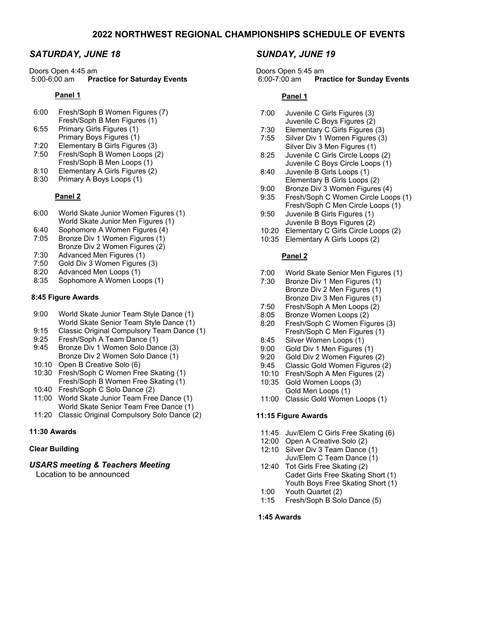# *SATURDAY, JUNE 18*

Doors Open 4:45 am<br>5:00-6:00 am **Pra Practice for Saturday Events** 

#### **Panel 1**

- 6:00 Fresh/Soph B Women Figures (7) Fresh/Soph B Men Figures (1)
- 6:55 Primary Girls Figures (1)
- Primary Boys Figures (1)
- 7:20 Elementary B Girls Figures (3)
- 7:50 Fresh/Soph B Women Loops (2)
- Fresh/Soph B Men Loops (1)
- 8:10 Elementary A Girls Figures (2)<br>8:30 Primary A Boys Loops (1)
- Primary A Boys Loops (1)

## **Panel 2**

- 6:00 World Skate Junior Women Figures (1) World Skate Junior Men Figures (1)
- 6:40 Sophomore A Women Figures (4)
- 7:05 Bronze Div 1 Women Figures (1) Bronze Div 2 Women Figures (2)
- 7:30 Advanced Men Figures (1)
- 7:50 Gold Div 3 Women Figures (3)<br>8:20 Advanced Men Loops (1)
- 8:20 Advanced Men Loops (1)<br>8:35 Sophomore A Women Loo
- Sophomore A Women Loops (1)

## **8:45 Figure Awards**

- 9:00 World Skate Junior Team Style Dance (1) World Skate Senior Team Style Dance (1)
- 9:15 Classic Original Compulsory Team Dance (1)
- 9:25 Fresh/Soph A Team Dance (1)<br>9:45 Bronze Div 1 Women Solo Dan
- Bronze Div 1 Women Solo Dance (3) Bronze Div 2 Women Solo Dance (1)
- 10:10 Open B Creative Solo (6)
- 10:30 Fresh/Soph C Women Free Skating (1) Fresh/Soph B Women Free Skating (1)
- 10:40 Fresh/Soph C Solo Dance (2)
- 11:00 World Skate Junior Team Free Dance (1) World Skate Senior Team Free Dance (1)
- 11:20 Classic Original Compulsory Solo Dance (2)

## **11:30 Awards**

## **Clear Building**

# *USARS meeting & Teachers Meeting*

Location to be announced

# *SUNDAY, JUNE 19*

Doors Open 5:45 am 6:00-7:00 am **Practice for Sunday Events**

## **Panel 1**

- 7:00 Juvenile C Girls Figures (3)
	- Juvenile C Boys Figures (2)
- 7:30 Elementary C Girls Figures (3)
- Silver Div 1 Women Figures (3) Silver Div 3 Men Figures (1)
- 8:25 Juvenile C Girls Circle Loops (2) Juvenile C Boys Circle Loops (1)
- 8:40 Juvenile B Girls Loops (1) Elementary B Girls Loops (2)
- 9:00 Bronze Div 3 Women Figures (4)
- 9:35 Fresh/Soph C Women Circle Loops (1) Fresh/Soph C Men Circle Loops (1)
- 9:50 Juvenile B Girls Figures (1) Juvenile B Boys Figures (2)
- 10:20 Elementary C Girls Circle Loops (2)
- 10:35 Elementary A Girls Loops (2)

## **Panel 2**

- 7:00 World Skate Senior Men Figures (1)
- Bronze Div 1 Men Figures (1) Bronze Div 2 Men Figures (1) Bronze Div 3 Men Figures (1)
- 7:50 Fresh/Soph A Men Loops (2)
- 8:05 Bronze Women Loops (2)
- 8:20 Fresh/Soph C Women Figures (3) Fresh/Soph C Men Figures (1)
- 8:45 Silver Women Loops (1)<br>9:00 Gold Div 1 Men Figures
- 9:00 Gold Div 1 Men Figures (1)<br>9:20 Gold Div 2 Women Figures
- Gold Div 2 Women Figures (2)
- 9:45 Classic Gold Women Figures (2)
- 10:10 Fresh/Soph A Men Figures (2)
- 10:35 Gold Women Loops (3) Gold Men Loops (1)
- 11:00 Classic Gold Women Loops (1)

## **11:15 Figure Awards**

- 11:45 Juv/Elem C Girls Free Skating (6)
- 12:00 Open A Creative Solo (2)
- 12:10 Silver Div 3 Team Dance (1)
- Juv/Elem C Team Dance (1) 12:40 Tot Girls Free Skating (2) Cadet Girls Free Skating Short (1) Youth Boys Free Skating Short (1)
- 1:00 Youth Quartet (2)
- Fresh/Soph B Solo Dance (5)

## **1:45 Awards**